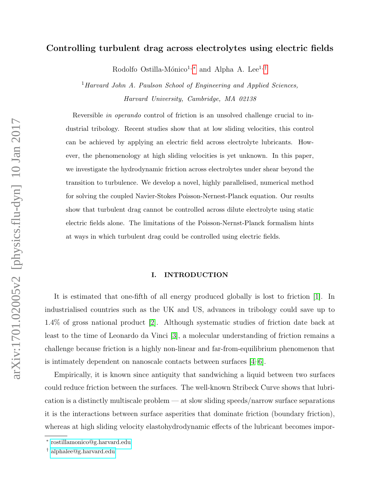# Controlling turbulent drag across electrolytes using electric fields

Rodolfo Ostilla-Mónico<sup>1,\*</sup> and Alpha A. Lee<sup>1,[†](#page-0-1)</sup>

 $1$ Harvard John A. Paulson School of Engineering and Applied Sciences, Harvard University, Cambridge, MA 02138

Reversible in operando control of friction is an unsolved challenge crucial to industrial tribology. Recent studies show that at low sliding velocities, this control can be achieved by applying an electric field across electrolyte lubricants. However, the phenomenology at high sliding velocities is yet unknown. In this paper, we investigate the hydrodynamic friction across electrolytes under shear beyond the transition to turbulence. We develop a novel, highly parallelised, numerical method for solving the coupled Navier-Stokes Poisson-Nernest-Planck equation. Our results show that turbulent drag cannot be controlled across dilute electrolyte using static electric fields alone. The limitations of the Poisson-Nernst-Planck formalism hints at ways in which turbulent drag could be controlled using electric fields.

#### I. INTRODUCTION

It is estimated that one-fifth of all energy produced globally is lost to friction [\[1\]](#page-16-0). In industrialised countries such as the UK and US, advances in tribology could save up to 1.4% of gross national product [\[2\]](#page-16-1). Although systematic studies of friction date back at least to the time of Leonardo da Vinci [\[3\]](#page-16-2), a molecular understanding of friction remains a challenge because friction is a highly non-linear and far-from-equilibrium phenomenon that is intimately dependent on nanoscale contacts between surfaces [\[4–](#page-16-3)[6\]](#page-16-4).

Empirically, it is known since antiquity that sandwiching a liquid between two surfaces could reduce friction between the surfaces. The well-known Stribeck Curve shows that lubrication is a distinctly multiscale problem — at slow sliding speeds/narrow surface separations it is the interactions between surface asperities that dominate friction (boundary friction), whereas at high sliding velocity elastohydrodynamic effects of the lubricant becomes impor-

<span id="page-0-1"></span><span id="page-0-0"></span><sup>∗</sup> [rostillamonico@g.harvard.edu](mailto:rostillamonico@g.harvard.edu)

<sup>†</sup> [alphalee@g.harvard.edu](mailto:alphalee@g.harvard.edu)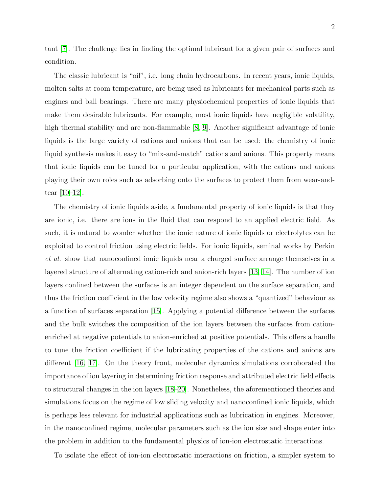tant [\[7\]](#page-16-5). The challenge lies in finding the optimal lubricant for a given pair of surfaces and condition.

The classic lubricant is "oil", i.e. long chain hydrocarbons. In recent years, ionic liquids, molten salts at room temperature, are being used as lubricants for mechanical parts such as engines and ball bearings. There are many physiochemical properties of ionic liquids that make them desirable lubricants. For example, most ionic liquids have negligible volatility, high thermal stability and are non-flammable [\[8,](#page-17-0) [9\]](#page-17-1). Another significant advantage of ionic liquids is the large variety of cations and anions that can be used: the chemistry of ionic liquid synthesis makes it easy to "mix-and-match" cations and anions. This property means that ionic liquids can be tuned for a particular application, with the cations and anions playing their own roles such as adsorbing onto the surfaces to protect them from wear-andtear [\[10–](#page-17-2)[12\]](#page-17-3).

The chemistry of ionic liquids aside, a fundamental property of ionic liquids is that they are ionic, i.e. there are ions in the fluid that can respond to an applied electric field. As such, it is natural to wonder whether the ionic nature of ionic liquids or electrolytes can be exploited to control friction using electric fields. For ionic liquids, seminal works by Perkin et al. show that nanoconfined ionic liquids near a charged surface arrange themselves in a layered structure of alternating cation-rich and anion-rich layers [\[13,](#page-17-4) [14\]](#page-17-5). The number of ion layers confined between the surfaces is an integer dependent on the surface separation, and thus the friction coefficient in the low velocity regime also shows a "quantized" behaviour as a function of surfaces separation [\[15\]](#page-17-6). Applying a potential difference between the surfaces and the bulk switches the composition of the ion layers between the surfaces from cationenriched at negative potentials to anion-enriched at positive potentials. This offers a handle to tune the friction coefficient if the lubricating properties of the cations and anions are different [\[16,](#page-17-7) [17\]](#page-17-8). On the theory front, molecular dynamics simulations corroborated the importance of ion layering in determining friction response and attributed electric field effects to structural changes in the ion layers [\[18–](#page-17-9)[20\]](#page-17-10). Nonetheless, the aforementioned theories and simulations focus on the regime of low sliding velocity and nanoconfined ionic liquids, which is perhaps less relevant for industrial applications such as lubrication in engines. Moreover, in the nanoconfined regime, molecular parameters such as the ion size and shape enter into the problem in addition to the fundamental physics of ion-ion electrostatic interactions.

To isolate the effect of ion-ion electrostatic interactions on friction, a simpler system to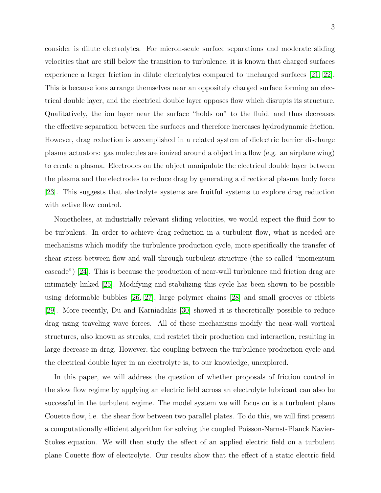consider is dilute electrolytes. For micron-scale surface separations and moderate sliding velocities that are still below the transition to turbulence, it is known that charged surfaces experience a larger friction in dilute electrolytes compared to uncharged surfaces [\[21,](#page-17-11) [22\]](#page-17-12). This is because ions arrange themselves near an oppositely charged surface forming an electrical double layer, and the electrical double layer opposes flow which disrupts its structure. Qualitatively, the ion layer near the surface "holds on" to the fluid, and thus decreases the effective separation between the surfaces and therefore increases hydrodynamic friction. However, drag reduction is accomplished in a related system of dielectric barrier discharge plasma actuators: gas molecules are ionized around a object in a flow (e.g. an airplane wing) to create a plasma. Electrodes on the object manipulate the electrical double layer between the plasma and the electrodes to reduce drag by generating a directional plasma body force [\[23\]](#page-17-13). This suggests that electrolyte systems are fruitful systems to explore drag reduction with active flow control.

Nonetheless, at industrially relevant sliding velocities, we would expect the fluid flow to be turbulent. In order to achieve drag reduction in a turbulent flow, what is needed are mechanisms which modify the turbulence production cycle, more specifically the transfer of shear stress between flow and wall through turbulent structure (the so-called "momentum cascade") [\[24\]](#page-17-14). This is because the production of near-wall turbulence and friction drag are intimately linked [\[25\]](#page-17-15). Modifying and stabilizing this cycle has been shown to be possible using deformable bubbles [\[26,](#page-17-16) [27\]](#page-17-17), large polymer chains [\[28\]](#page-17-18) and small grooves or riblets [\[29\]](#page-18-0). More recently, Du and Karniadakis [\[30\]](#page-18-1) showed it is theoretically possible to reduce drag using traveling wave forces. All of these mechanisms modify the near-wall vortical structures, also known as streaks, and restrict their production and interaction, resulting in large decrease in drag. However, the coupling between the turbulence production cycle and the electrical double layer in an electrolyte is, to our knowledge, unexplored.

In this paper, we will address the question of whether proposals of friction control in the slow flow regime by applying an electric field across an electrolyte lubricant can also be successful in the turbulent regime. The model system we will focus on is a turbulent plane Couette flow, i.e. the shear flow between two parallel plates. To do this, we will first present a computationally efficient algorithm for solving the coupled Poisson-Nernst-Planck Navier-Stokes equation. We will then study the effect of an applied electric field on a turbulent plane Couette flow of electrolyte. Our results show that the effect of a static electric field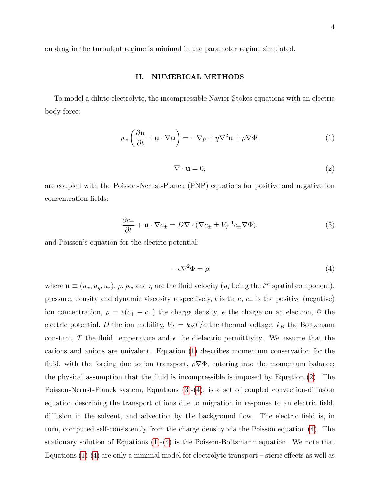on drag in the turbulent regime is minimal in the parameter regime simulated.

### II. NUMERICAL METHODS

To model a dilute electrolyte, the incompressible Navier-Stokes equations with an electric body-force:

<span id="page-3-0"></span>
$$
\rho_w \left( \frac{\partial \mathbf{u}}{\partial t} + \mathbf{u} \cdot \nabla \mathbf{u} \right) = -\nabla p + \eta \nabla^2 \mathbf{u} + \rho \nabla \Phi,
$$
\n(1)

<span id="page-3-1"></span>
$$
\nabla \cdot \mathbf{u} = 0,\tag{2}
$$

are coupled with the Poisson-Nernst-Planck (PNP) equations for positive and negative ion concentration fields:

<span id="page-3-2"></span>
$$
\frac{\partial c_{\pm}}{\partial t} + \mathbf{u} \cdot \nabla c_{\pm} = D \nabla \cdot (\nabla c_{\pm} \pm V_T^{-1} c_{\pm} \nabla \Phi),\tag{3}
$$

and Poisson's equation for the electric potential:

<span id="page-3-3"></span>
$$
-\epsilon \nabla^2 \Phi = \rho,\tag{4}
$$

where  $\mathbf{u} \equiv (u_x, u_y, u_z)$ , p,  $\rho_w$  and  $\eta$  are the fluid velocity  $(u_i \text{ being the } i^{th} \text{ spatial component})$ , pressure, density and dynamic viscosity respectively,  $t$  is time,  $c_{\pm}$  is the positive (negative) ion concentration,  $\rho = e(c_{+} - c_{-})$  the charge density, e the charge on an electron,  $\Phi$  the electric potential, D the ion mobility,  $V_T = k_B T/e$  the thermal voltage,  $k_B$  the Boltzmann constant, T the fluid temperature and  $\epsilon$  the dielectric permittivity. We assume that the cations and anions are univalent. Equation [\(1\)](#page-3-0) describes momentum conservation for the fluid, with the forcing due to ion transport,  $\rho \nabla \Phi$ , entering into the momentum balance; the physical assumption that the fluid is incompressible is imposed by Equation [\(2\)](#page-3-1). The Poisson-Nernst-Planck system, Equations [\(3\)](#page-3-2)-[\(4\)](#page-3-3), is a set of coupled convection-diffusion equation describing the transport of ions due to migration in response to an electric field, diffusion in the solvent, and advection by the background flow. The electric field is, in turn, computed self-consistently from the charge density via the Poisson equation [\(4\)](#page-3-3). The stationary solution of Equations  $(1)-(4)$  $(1)-(4)$  is the Poisson-Boltzmann equation. We note that Equations  $(1)-(4)$  $(1)-(4)$  are only a minimal model for electrolyte transport – steric effects as well as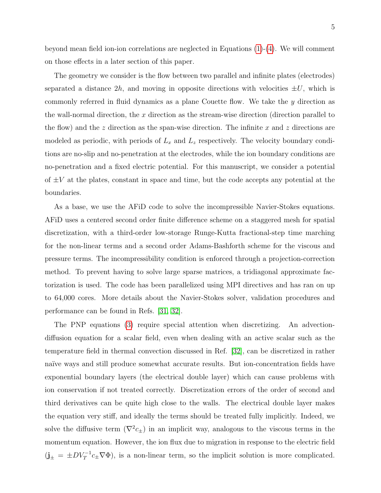beyond mean field ion-ion correlations are neglected in Equations [\(1\)](#page-3-0)-[\(4\)](#page-3-3). We will comment on those effects in a later section of this paper.

The geometry we consider is the flow between two parallel and infinite plates (electrodes) separated a distance  $2h$ , and moving in opposite directions with velocities  $\pm U$ , which is commonly referred in fluid dynamics as a plane Couette flow. We take the y direction as the wall-normal direction, the  $x$  direction as the stream-wise direction (direction parallel to the flow) and the z direction as the span-wise direction. The infinite x and z directions are modeled as periodic, with periods of  $L_x$  and  $L_z$  respectively. The velocity boundary conditions are no-slip and no-penetration at the electrodes, while the ion boundary conditions are no-penetration and a fixed electric potential. For this manuscript, we consider a potential of  $\pm V$  at the plates, constant in space and time, but the code accepts any potential at the boundaries.

As a base, we use the AFiD code to solve the incompressible Navier-Stokes equations. AFiD uses a centered second order finite difference scheme on a staggered mesh for spatial discretization, with a third-order low-storage Runge-Kutta fractional-step time marching for the non-linear terms and a second order Adams-Bashforth scheme for the viscous and pressure terms. The incompressibility condition is enforced through a projection-correction method. To prevent having to solve large sparse matrices, a tridiagonal approximate factorization is used. The code has been parallelized using MPI directives and has ran on up to 64,000 cores. More details about the Navier-Stokes solver, validation procedures and performance can be found in Refs. [\[31,](#page-18-2) [32\]](#page-18-3).

The PNP equations [\(3\)](#page-3-2) require special attention when discretizing. An advectiondiffusion equation for a scalar field, even when dealing with an active scalar such as the temperature field in thermal convection discussed in Ref. [\[32\]](#page-18-3), can be discretized in rather naïve ways and still produce somewhat accurate results. But ion-concentration fields have exponential boundary layers (the electrical double layer) which can cause problems with ion conservation if not treated correctly. Discretization errors of the order of second and third derivatives can be quite high close to the walls. The electrical double layer makes the equation very stiff, and ideally the terms should be treated fully implicitly. Indeed, we solve the diffusive term  $(\nabla^2 c_{\pm})$  in an implicit way, analogous to the viscous terms in the momentum equation. However, the ion flux due to migration in response to the electric field  $(j_{\pm} = \pm DV_T^{-1}c_{\pm}\nabla\Phi)$ , is a non-linear term, so the implicit solution is more complicated.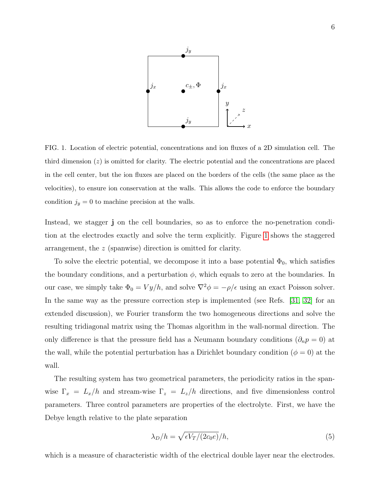

<span id="page-5-0"></span>FIG. 1. Location of electric potential, concentrations and ion fluxes of a 2D simulation cell. The third dimension  $(z)$  is omitted for clarity. The electric potential and the concentrations are placed in the cell center, but the ion fluxes are placed on the borders of the cells (the same place as the velocities), to ensure ion conservation at the walls. This allows the code to enforce the boundary condition  $j_y = 0$  to machine precision at the walls.

Instead, we stagger j on the cell boundaries, so as to enforce the no-penetration condition at the electrodes exactly and solve the term explicitly. Figure [1](#page-5-0) shows the staggered arrangement, the z (spanwise) direction is omitted for clarity.

To solve the electric potential, we decompose it into a base potential  $\Phi_0$ , which satisfies the boundary conditions, and a perturbation  $\phi$ , which equals to zero at the boundaries. In our case, we simply take  $\Phi_0 = V y/h$ , and solve  $\nabla^2 \phi = -\rho/\epsilon$  using an exact Poisson solver. In the same way as the pressure correction step is implemented (see Refs. [\[31,](#page-18-2) [32\]](#page-18-3) for an extended discussion), we Fourier transform the two homogeneous directions and solve the resulting tridiagonal matrix using the Thomas algorithm in the wall-normal direction. The only difference is that the pressure field has a Neumann boundary conditions ( $\partial_n p = 0$ ) at the wall, while the potential perturbation has a Dirichlet boundary condition ( $\phi = 0$ ) at the wall.

The resulting system has two geometrical parameters, the periodicity ratios in the spanwise  $\Gamma_x = L_x/h$  and stream-wise  $\Gamma_z = L_z/h$  directions, and five dimensionless control parameters. Three control parameters are properties of the electrolyte. First, we have the Debye length relative to the plate separation

$$
\lambda_D/h = \sqrt{\epsilon V_T/(2c_0 e)} / h,\tag{5}
$$

which is a measure of characteristic width of the electrical double layer near the electrodes.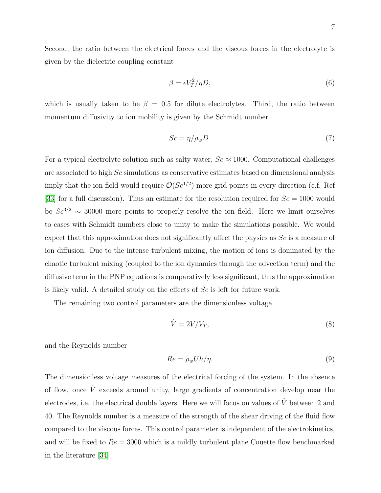Second, the ratio between the electrical forces and the viscous forces in the electrolyte is given by the dielectric coupling constant

$$
\beta = \epsilon V_T^2 / \eta D,\tag{6}
$$

which is usually taken to be  $\beta = 0.5$  for dilute electrolytes. Third, the ratio between momentum diffusivity to ion mobility is given by the Schmidt number

$$
Sc = \eta / \rho_w D. \tag{7}
$$

For a typical electrolyte solution such as salty water,  $Sc \approx 1000$ . Computational challenges are associated to high Sc simulations as conservative estimates based on dimensional analysis imply that the ion field would require  $\mathcal{O}(Sc^{1/2})$  more grid points in every direction (c.f. Ref [\[33\]](#page-18-4) for a full discussion). Thus an estimate for the resolution required for  $Sc = 1000$  would be  $Sc^{3/2} \sim 30000$  more points to properly resolve the ion field. Here we limit ourselves to cases with Schmidt numbers close to unity to make the simulations possible. We would expect that this approximation does not significantly affect the physics as  $Sc$  is a measure of ion diffusion. Due to the intense turbulent mixing, the motion of ions is dominated by the chaotic turbulent mixing (coupled to the ion dynamics through the advection term) and the diffusive term in the PNP equations is comparatively less significant, thus the approximation is likely valid. A detailed study on the effects of  $Sc$  is left for future work.

The remaining two control parameters are the dimensionless voltage

$$
\hat{V} = 2V/V_T,\tag{8}
$$

and the Reynolds number

$$
Re = \rho_w U h / \eta. \tag{9}
$$

The dimensionless voltage measures of the electrical forcing of the system. In the absence of flow, once  $\hat{V}$  exceeds around unity, large gradients of concentration develop near the electrodes, i.e. the electrical double layers. Here we will focus on values of  $\hat{V}$  between 2 and 40. The Reynolds number is a measure of the strength of the shear driving of the fluid flow compared to the viscous forces. This control parameter is independent of the electrokinetics, and will be fixed to  $Re = 3000$  which is a mildly turbulent plane Couette flow benchmarked in the literature [\[34\]](#page-18-5).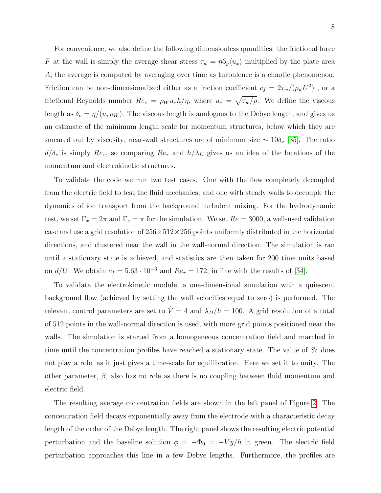For convenience, we also define the following dimensionless quantities: the frictional force F at the wall is simply the average shear stress  $\tau_w = \eta \partial_y \langle u_x \rangle$  multiplied by the plate area A; the average is computed by averaging over time as turbulence is a chaotic phenomenon. Friction can be non-dimensionalized either as a friction coefficient  $c_f = 2\tau_w/(\rho_w U^2)$ , or a frictional Reynolds number  $Re_\tau = \rho_W u_\tau h/\eta$ , where  $u_\tau = \sqrt{\tau_w/\rho}$ . We define the viscous length as  $\delta_{\nu} = \eta/(u_{\tau}\rho_W)$ . The viscous length is analogous to the Debye length, and gives us an estimate of the minimum length scale for momentum structures, below which they are smeared out by viscosity; near-wall structures are of minimum size  $\sim 10\delta_{\nu}$  [\[35\]](#page-18-6). The ratio  $d/\delta_{\nu}$  is simply  $Re_{\tau}$ , so comparing  $Re_{\tau}$  and  $h/\lambda_D$  gives us an idea of the locations of the momentum and electrokinetic structures.

To validate the code we run two test cases. One with the flow completely decoupled from the electric field to test the fluid mechanics, and one with steady walls to decouple the dynamics of ion transport from the background turbulent mixing. For the hydrodynamic test, we set  $\Gamma_x = 2\pi$  and  $\Gamma_z = \pi$  for the simulation. We set  $Re = 3000$ , a well-used validation case and use a grid resolution of  $256 \times 512 \times 256$  points uniformly distributed in the horizontal directions, and clustered near the wall in the wall-normal direction. The simulation is ran until a stationary state is achieved, and statistics are then taken for 200 time units based on  $d/U$ . We obtain  $c_f = 5.63 \cdot 10^{-3}$  and  $Re_\tau = 172$ , in line with the results of [\[34\]](#page-18-5).

To validate the electrokinetic module, a one-dimensional simulation with a quiescent background flow (achieved by setting the wall velocities equal to zero) is performed. The relevant control parameters are set to  $\hat{V} = 4$  and  $\lambda_D/h = 100$ . A grid resolution of a total of 512 points in the wall-normal direction is used, with more grid points positioned near the walls. The simulation is started from a homogeneous concentration field and marched in time until the concentration profiles have reached a stationary state. The value of  $Sc$  does not play a role, as it just gives a time-scale for equilibration. Here we set it to unity. The other parameter,  $\beta$ , also has no role as there is no coupling between fluid momentum and electric field.

The resulting average concentration fields are shown in the left panel of Figure [2.](#page-8-0) The concentration field decays exponentially away from the electrode with a characteristic decay length of the order of the Debye length. The right panel shows the resulting electric potential perturbation and the baseline solution  $\phi = -\Phi_0 = -V y/h$  in green. The electric field perturbation approaches this line in a few Debye lengths. Furthermore, the profiles are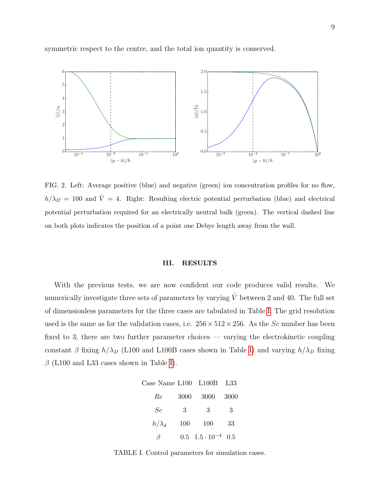symmetric respect to the centre, and the total ion quantity is conserved.



<span id="page-8-0"></span>FIG. 2. Left: Average positive (blue) and negative (green) ion concentration profiles for no flow,  $h/\lambda_D = 100$  and  $\hat{V} = 4$ . Right: Resulting electric potential perturbation (blue) and electrical potential perturbation required for an electrically neutral bulk (green). The vertical dashed line on both plots indicates the position of a point one Debye length away from the wall.

### III. RESULTS

With the previous tests, we are now confident our code produces valid results. We numerically investigate three sets of parameters by varying  $\hat{V}$  between 2 and 40. The full set of dimensionless parameters for the three cases are tabulated in Table [I.](#page-8-1) The grid resolution used is the same as for the validation cases, i.e.  $256 \times 512 \times 256$ . As the Sc number has been fixed to 3, there are two further parameter choices — varying the electrokinetic coupling constant  $\beta$  fixing  $h/\lambda_D$  (L100 and L100B cases shown in Table [I\)](#page-8-1) and varying  $h/\lambda_D$  fixing  $\beta$  (L100 and L33 cases shown in Table [I\)](#page-8-1).

| Case Name L100 L100B L33 |      |                               |      |
|--------------------------|------|-------------------------------|------|
| Re                       | 3000 | 3000                          | 3000 |
| Sc                       | 3    | 3                             | 3    |
| $h/\lambda_d$            | 100  | 100                           | 33   |
|                          |      | $0.5 \quad 1.5 \cdot 10^{-4}$ | 0.5  |

<span id="page-8-1"></span>TABLE I. Control parameters for simulation cases.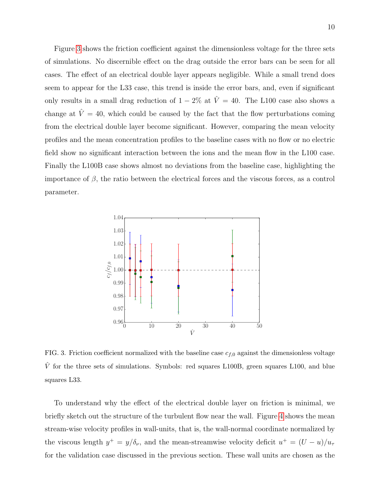Figure [3](#page-9-0) shows the friction coefficient against the dimensionless voltage for the three sets of simulations. No discernible effect on the drag outside the error bars can be seen for all cases. The effect of an electrical double layer appears negligible. While a small trend does seem to appear for the L33 case, this trend is inside the error bars, and, even if significant only results in a small drag reduction of  $1 - 2\%$  at  $\hat{V} = 40$ . The L100 case also shows a change at  $\hat{V} = 40$ , which could be caused by the fact that the flow perturbations coming from the electrical double layer become significant. However, comparing the mean velocity profiles and the mean concentration profiles to the baseline cases with no flow or no electric field show no significant interaction between the ions and the mean flow in the L100 case. Finally the L100B case shows almost no deviations from the baseline case, highlighting the importance of  $\beta$ , the ratio between the electrical forces and the viscous forces, as a control parameter.



<span id="page-9-0"></span>FIG. 3. Friction coefficient normalized with the baseline case  $c_{f,0}$  against the dimensionless voltage  $\hat{V}$  for the three sets of simulations. Symbols: red squares L100B, green squares L100, and blue squares L33.

To understand why the effect of the electrical double layer on friction is minimal, we briefly sketch out the structure of the turbulent flow near the wall. Figure [4](#page-10-0) shows the mean stream-wise velocity profiles in wall-units, that is, the wall-normal coordinate normalized by the viscous length  $y^+ = y/\delta_\nu$ , and the mean-streamwise velocity deficit  $u^+ = (U - u)/u_\tau$ for the validation case discussed in the previous section. These wall units are chosen as the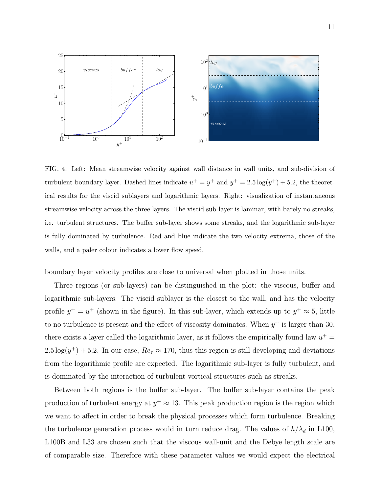

<span id="page-10-0"></span>FIG. 4. Left: Mean streamwise velocity against wall distance in wall units, and sub-division of turbulent boundary layer. Dashed lines indicate  $u^+ = y^+$  and  $y^+ = 2.5 \log(y^+) + 5.2$ , the theoretical results for the viscid sublayers and logarithmic layers. Right: visualization of instantaneous streamwise velocity across the three layers. The viscid sub-layer is laminar, with barely no streaks, i.e. turbulent structures. The buffer sub-layer shows some streaks, and the logarithmic sub-layer is fully dominated by turbulence. Red and blue indicate the two velocity extrema, those of the walls, and a paler colour indicates a lower flow speed.

boundary layer velocity profiles are close to universal when plotted in those units.

Three regions (or sub-layers) can be distinguished in the plot: the viscous, buffer and logarithmic sub-layers. The viscid sublayer is the closest to the wall, and has the velocity profile  $y^+ = u^+$  (shown in the figure). In this sub-layer, which extends up to  $y^+ \approx 5$ , little to no turbulence is present and the effect of viscosity dominates. When  $y^+$  is larger than 30, there exists a layer called the logarithmic layer, as it follows the empirically found law  $u^+$  =  $2.5 \log(y^+) + 5.2$ . In our case,  $Re_\tau \approx 170$ , thus this region is still developing and deviations from the logarithmic profile are expected. The logarithmic sub-layer is fully turbulent, and is dominated by the interaction of turbulent vortical structures such as streaks.

Between both regions is the buffer sub-layer. The buffer sub-layer contains the peak production of turbulent energy at  $y^+ \approx 13$ . This peak production region is the region which we want to affect in order to break the physical processes which form turbulence. Breaking the turbulence generation process would in turn reduce drag. The values of  $h/\lambda_d$  in L100, L100B and L33 are chosen such that the viscous wall-unit and the Debye length scale are of comparable size. Therefore with these parameter values we would expect the electrical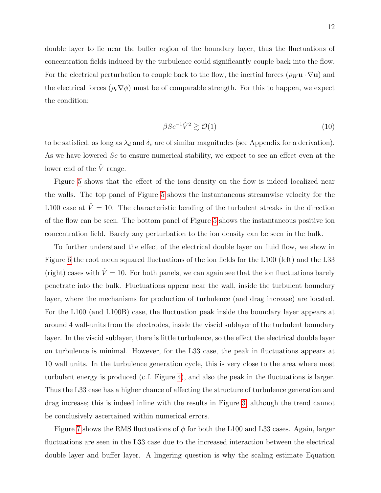double layer to lie near the buffer region of the boundary layer, thus the fluctuations of concentration fields induced by the turbulence could significantly couple back into the flow. For the electrical perturbation to couple back to the flow, the inertial forces  $(\rho_W \mathbf{u} \cdot \nabla \mathbf{u})$  and the electrical forces ( $\rho_e \nabla \phi$ ) must be of comparable strength. For this to happen, we expect the condition:

<span id="page-11-0"></span>
$$
\beta S c^{-1} \hat{V}^2 \gtrsim \mathcal{O}(1) \tag{10}
$$

to be satisfied, as long as  $\lambda_d$  and  $\delta_\nu$  are of similar magnitudes (see Appendix for a derivation). As we have lowered Sc to ensure numerical stability, we expect to see an effect even at the lower end of the  $\hat{V}$  range.

Figure [5](#page-12-0) shows that the effect of the ions density on the flow is indeed localized near the walls. The top panel of Figure [5](#page-12-0) shows the instantaneous streamwise velocity for the L100 case at  $\hat{V} = 10$ . The characteristic bending of the turbulent streaks in the direction of the flow can be seen. The bottom panel of Figure [5](#page-12-0) shows the instantaneous positive ion concentration field. Barely any perturbation to the ion density can be seen in the bulk.

To further understand the effect of the electrical double layer on fluid flow, we show in Figure [6](#page-13-0) the root mean squared fluctuations of the ion fields for the L100 (left) and the L33 (right) cases with  $\hat{V} = 10$ . For both panels, we can again see that the ion fluctuations barely penetrate into the bulk. Fluctuations appear near the wall, inside the turbulent boundary layer, where the mechanisms for production of turbulence (and drag increase) are located. For the L100 (and L100B) case, the fluctuation peak inside the boundary layer appears at around 4 wall-units from the electrodes, inside the viscid sublayer of the turbulent boundary layer. In the viscid sublayer, there is little turbulence, so the effect the electrical double layer on turbulence is minimal. However, for the L33 case, the peak in fluctuations appears at 10 wall units. In the turbulence generation cycle, this is very close to the area where most turbulent energy is produced (c.f. Figure [4\)](#page-10-0), and also the peak in the fluctuations is larger. Thus the L33 case has a higher chance of affecting the structure of turbulence generation and drag increase; this is indeed inline with the results in Figure [3,](#page-9-0) although the trend cannot be conclusively ascertained within numerical errors.

Figure [7](#page-13-1) shows the RMS fluctuations of  $\phi$  for both the L100 and L33 cases. Again, larger fluctuations are seen in the L33 case due to the increased interaction between the electrical double layer and buffer layer. A lingering question is why the scaling estimate Equation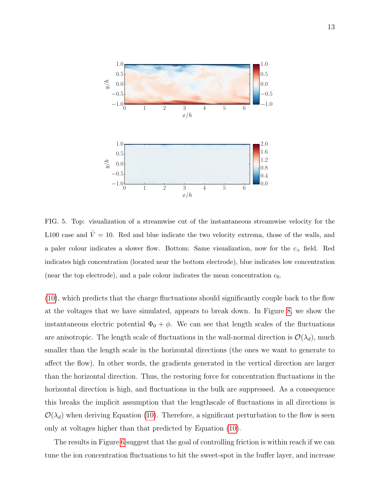

<span id="page-12-0"></span>FIG. 5. Top: visualization of a streamwise cut of the instantaneous streamwise velocity for the L100 case and  $\hat{V} = 10$ . Red and blue indicate the two velocity extrema, those of the walls, and a paler colour indicates a slower flow. Bottom: Same visualization, now for the  $c_{+}$  field. Red indicates high concentration (located near the bottom electrode), blue indicates low concentration (near the top electrode), and a pale colour indicates the mean concentration  $c_0$ .

[\(10\)](#page-11-0), which predicts that the charge fluctuations should significantly couple back to the flow at the voltages that we have simulated, appears to break down. In Figure [8,](#page-14-0) we show the instantaneous electric potential  $\Phi_0 + \phi$ . We can see that length scales of the fluctuations are anisotropic. The length scale of fluctuations in the wall-normal direction is  $\mathcal{O}(\lambda_d)$ , much smaller than the length scale in the horizontal directions (the ones we want to generate to affect the flow). In other words, the gradients generated in the vertical direction are larger than the horizontal direction. Thus, the restoring force for concentration fluctuations in the horizontal direction is high, and fluctuations in the bulk are suppressed. As a consequence this breaks the implicit assumption that the lengthscale of fluctuations in all directions is  $\mathcal{O}(\lambda_d)$  when deriving Equation [\(10\)](#page-11-0). Therefore, a significant perturbation to the flow is seen only at voltages higher than that predicted by Equation [\(10\)](#page-11-0).

The results in Figure [6](#page-13-0) suggest that the goal of controlling friction is within reach if we can tune the ion concentration fluctuations to hit the sweet-spot in the buffer layer, and increase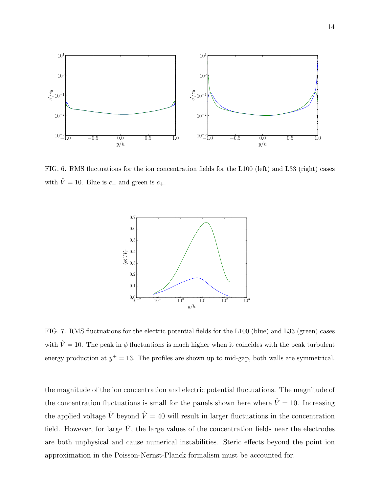

<span id="page-13-0"></span>FIG. 6. RMS fluctuations for the ion concentration fields for the L100 (left) and L33 (right) cases with  $\hat{V} = 10$ . Blue is  $c_{-}$  and green is  $c_{+}$ .



<span id="page-13-1"></span>FIG. 7. RMS fluctuations for the electric potential fields for the L100 (blue) and L33 (green) cases with  $\hat{V} = 10$ . The peak in  $\phi$  fluctuations is much higher when it coincides with the peak turbulent energy production at  $y^+=13$ . The profiles are shown up to mid-gap, both walls are symmetrical.

the magnitude of the ion concentration and electric potential fluctuations. The magnitude of the concentration fluctuations is small for the panels shown here where  $\hat{V} = 10$ . Increasing the applied voltage  $\hat{V}$  beyond  $\hat{V} = 40$  will result in larger fluctuations in the concentration field. However, for large  $\hat{V}$ , the large values of the concentration fields near the electrodes are both unphysical and cause numerical instabilities. Steric effects beyond the point ion approximation in the Poisson-Nernst-Planck formalism must be accounted for.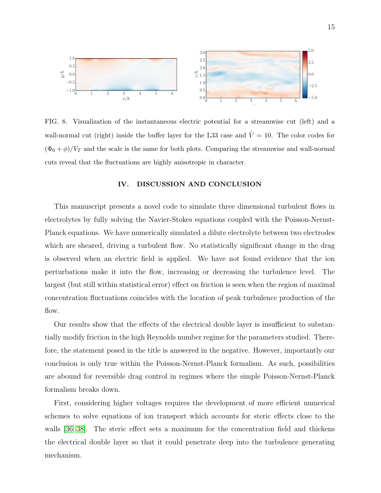

<span id="page-14-0"></span>FIG. 8. Visualization of the instantaneous electric potential for a streamwise cut (left) and a wall-normal cut (right) inside the buffer layer for the L33 case and  $\hat{V} = 10$ . The color codes for  $(\Phi_0 + \phi)/V_T$  and the scale is the same for both plots. Comparing the streamwise and wall-normal cuts reveal that the fluctuations are highly anisotropic in character.

## IV. DISCUSSION AND CONCLUSION

This manuscript presents a novel code to simulate three dimensional turbulent flows in electrolytes by fully solving the Navier-Stokes equations coupled with the Poisson-Nernst-Planck equations. We have numerically simulated a dilute electrolyte between two electrodes which are sheared, driving a turbulent flow. No statistically significant change in the drag is observed when an electric field is applied. We have not found evidence that the ion perturbations make it into the flow, increasing or decreasing the turbulence level. The largest (but still within statistical error) effect on friction is seen when the region of maximal concentration fluctuations coincides with the location of peak turbulence production of the flow.

Our results show that the effects of the electrical double layer is insufficient to substantially modify friction in the high Reynolds number regime for the parameters studied. Therefore, the statement posed in the title is answered in the negative. However, importantly our conclusion is only true within the Poisson-Nernst-Planck formalism. As such, possibilities are abound for reversible drag control in regimes where the simple Poisson-Nernst-Planck formalism breaks down.

First, considering higher voltages requires the development of more efficient numerical schemes to solve equations of ion transport which accounts for steric effects close to the walls [\[36](#page-18-7)[–38\]](#page-18-8). The steric effect sets a maximum for the concentration field and thickens the electrical double layer so that it could penetrate deep into the turbulence generating mechanism.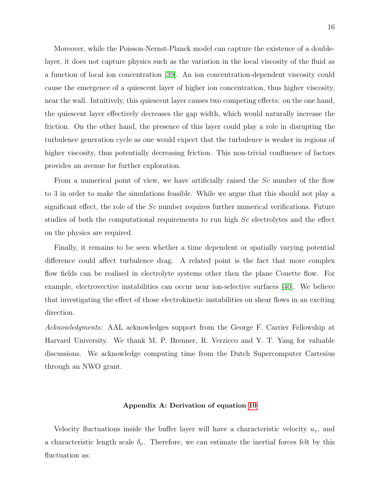Moreover, while the Poisson-Nernst-Planck model can capture the existence of a doublelayer, it does not capture physics such as the variation in the local viscosity of the fluid as a function of local ion concentration [\[39\]](#page-18-9). An ion concentration-dependent viscosity could cause the emergence of a quiescent layer of higher ion concentration, thus higher viscosity, near the wall. Intuitively, this quiescent layer causes two competing effects: on the one hand, the quiescent layer effectively decreases the gap width, which would naturally increase the friction. On the other hand, the presence of this layer could play a role in disrupting the turbulence generation cycle as one would expect that the turbulence is weaker in regions of higher viscosity, thus potentially decreasing friction. This non-trivial confluence of factors provides an avenue for further exploration.

From a numerical point of view, we have artificially raised the Sc number of the flow to 3 in order to make the simulations feasible. While we argue that this should not play a significant effect, the role of the  $Sc$  number requires further numerical verifications. Future studies of both the computational requirements to run high Sc electrolytes and the effect on the physics are required.

Finally, it remains to be seen whether a time dependent or spatially varying potential difference could affect turbulence drag. A related point is the fact that more complex flow fields can be realised in electrolyte systems other then the plane Couette flow. For example, electrovective instabilities can occur near ion-selective surfaces [\[40\]](#page-18-10). We believe that investigating the effect of those electrokinetic instabilities on shear flows in an exciting direction.

Acknowledgments: AAL acknowledges support from the George F. Carrier Fellowship at Harvard University. We thank M. P. Brenner, R. Verzicco and Y. T. Yang for valuable discussions. We acknowledge computing time from the Dutch Supercomputer Cartesius through an NWO grant.

#### Appendix A: Derivation of equation [10](#page-11-0)

Velocity fluctuations inside the buffer layer will have a characteristic velocity  $u_{\tau}$ , and a characteristic length scale  $\delta_{\nu}$ . Therefore, we can estimate the inertial forces felt by this fluctuation as: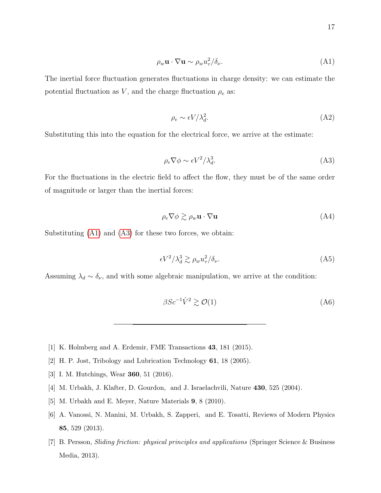<span id="page-16-6"></span>
$$
\rho_w \mathbf{u} \cdot \nabla \mathbf{u} \sim \rho_w u_\tau^2 / \delta_\nu. \tag{A1}
$$

The inertial force fluctuation generates fluctuations in charge density: we can estimate the potential fluctuation as V, and the charge fluctuation  $\rho_e$  as:

$$
\rho_e \sim \epsilon V / \lambda_d^2. \tag{A2}
$$

Substituting this into the equation for the electrical force, we arrive at the estimate:

<span id="page-16-7"></span>
$$
\rho_e \nabla \phi \sim \epsilon V^2 / \lambda_d^3. \tag{A3}
$$

For the fluctuations in the electric field to affect the flow, they must be of the same order of magnitude or larger than the inertial forces:

$$
\rho_e \nabla \phi \gtrsim \rho_w \mathbf{u} \cdot \nabla \mathbf{u} \tag{A4}
$$

Substituting [\(A1\)](#page-16-6) and [\(A3\)](#page-16-7) for these two forces, we obtain:

$$
\epsilon V^2 / \lambda_d^3 \gtrsim \rho_w u_\tau^2 / \delta_\nu. \tag{A5}
$$

Assuming  $\lambda_d \sim \delta_{\nu}$ , and with some algebraic manipulation, we arrive at the condition:

$$
\beta Sc^{-1}\hat{V}^2 \gtrsim \mathcal{O}(1) \tag{A6}
$$

- <span id="page-16-1"></span><span id="page-16-0"></span>[1] K. Holmberg and A. Erdemir, FME Transactions 43, 181 (2015).
- <span id="page-16-2"></span>[2] H. P. Jost, Tribology and Lubrication Technology 61, 18 (2005).
- <span id="page-16-3"></span>[3] I. M. Hutchings, Wear 360, 51 (2016).
- [4] M. Urbakh, J. Klafter, D. Gourdon, and J. Israelachvili, Nature 430, 525 (2004).
- <span id="page-16-4"></span>[5] M. Urbakh and E. Meyer, Nature Materials 9, 8 (2010).
- [6] A. Vanossi, N. Manini, M. Urbakh, S. Zapperi, and E. Tosatti, Reviews of Modern Physics 85, 529 (2013).
- <span id="page-16-5"></span>[7] B. Persson, Sliding friction: physical principles and applications (Springer Science & Business Media, 2013).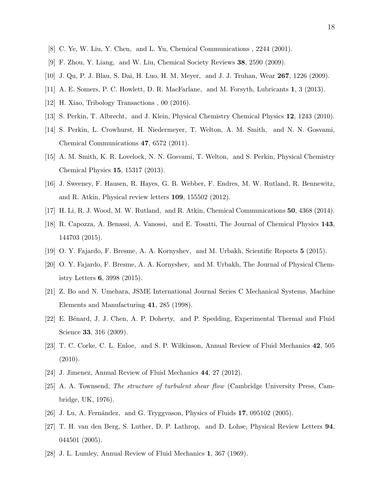- <span id="page-17-1"></span><span id="page-17-0"></span>[8] C. Ye, W. Liu, Y. Chen, and L. Yu, Chemical Communications , 2244 (2001).
- <span id="page-17-2"></span>[9] F. Zhou, Y. Liang, and W. Liu, Chemical Society Reviews 38, 2590 (2009).
- [10] J. Qu, P. J. Blau, S. Dai, H. Luo, H. M. Meyer, and J. J. Truhan, Wear 267, 1226 (2009).
- <span id="page-17-3"></span>[11] A. E. Somers, P. C. Howlett, D. R. MacFarlane, and M. Forsyth, Lubricants 1, 3 (2013).
- <span id="page-17-4"></span>[12] H. Xiao, Tribology Transactions , 00 (2016).
- <span id="page-17-5"></span>[13] S. Perkin, T. Albrecht, and J. Klein, Physical Chemistry Chemical Physics 12, 1243 (2010).
- [14] S. Perkin, L. Crowhurst, H. Niedermeyer, T. Welton, A. M. Smith, and N. N. Gosvami, Chemical Communications 47, 6572 (2011).
- <span id="page-17-6"></span>[15] A. M. Smith, K. R. Lovelock, N. N. Gosvami, T. Welton, and S. Perkin, Physical Chemistry Chemical Physics 15, 15317 (2013).
- <span id="page-17-7"></span>[16] J. Sweeney, F. Hausen, R. Hayes, G. B. Webber, F. Endres, M. W. Rutland, R. Bennewitz, and R. Atkin, Physical review letters 109, 155502 (2012).
- <span id="page-17-9"></span><span id="page-17-8"></span>[17] H. Li, R. J. Wood, M. W. Rutland, and R. Atkin, Chemical Communications 50, 4368 (2014).
- [18] R. Capozza, A. Benassi, A. Vanossi, and E. Tosatti, The Journal of Chemical Physics 143, 144703 (2015).
- <span id="page-17-10"></span>[19] O. Y. Fajardo, F. Bresme, A. A. Kornyshev, and M. Urbakh, Scientific Reports 5 (2015).
- [20] O. Y. Fajardo, F. Bresme, A. A. Kornyshev, and M. Urbakh, The Journal of Physical Chemistry Letters 6, 3998 (2015).
- <span id="page-17-11"></span>[21] Z. Bo and N. Umehara, JSME International Journal Series C Mechanical Systems, Machine Elements and Manufacturing 41, 285 (1998).
- <span id="page-17-12"></span>[22] E. Bénard, J. J. Chen, A. P. Doherty, and P. Spedding, Experimental Thermal and Fluid Science 33, 316 (2009).
- <span id="page-17-13"></span>[23] T. C. Corke, C. L. Enloe, and S. P. Wilkinson, Annual Review of Fluid Mechanics 42, 505 (2010).
- <span id="page-17-15"></span><span id="page-17-14"></span>[24] J. Jimenez, Annual Review of Fluid Mechanics 44, 27 (2012).
- [25] A. A. Townsend, The structure of turbulent shear flow (Cambridge University Press, Cambridge, UK, 1976).
- <span id="page-17-17"></span><span id="page-17-16"></span>[26] J. Lu, A. Fernández, and G. Tryggvason, Physics of Fluids  $17$ , 095102 (2005).
- [27] T. H. van den Berg, S. Luther, D. P. Lathrop, and D. Lohse, Physical Review Letters 94, 044501 (2005).
- <span id="page-17-18"></span>[28] J. L. Lumley, Annual Review of Fluid Mechanics 1, 367 (1969).